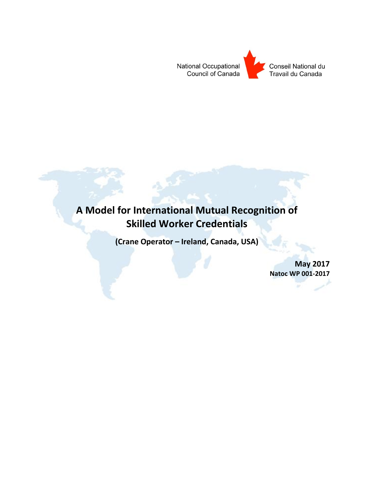

# **A Model for International Mutual Recognition of Skilled Worker Credentials**

**(Crane Operator – Ireland, Canada, USA)**

**May 2017 Natoc WP 001-2017**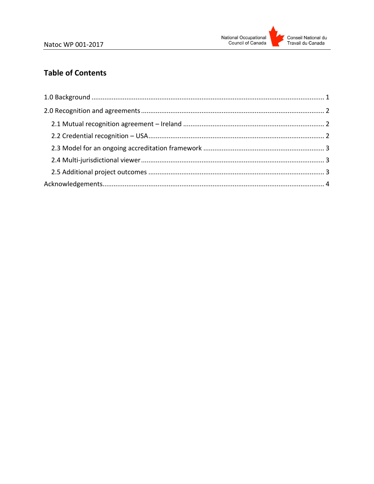# **Table of Contents**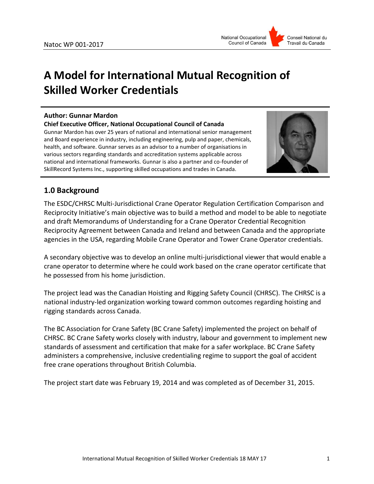# **A Model for International Mutual Recognition of Skilled Worker Credentials**

#### **Author: Gunnar Mardon**

**Chief Executive Officer, National Occupational Council of Canada** Gunnar Mardon has over 25 years of national and international senior management and Board experience in industry, including engineering, pulp and paper, chemicals, health, and software. Gunnar serves as an advisor to a number of organisations in various sectors regarding standards and accreditation systems applicable across national and international frameworks. Gunnar is also a partner and co-founder of

SkillRecord Systems Inc., supporting skilled occupations and trades in Canada.



## <span id="page-2-0"></span>**1.0 Background**

The ESDC/CHRSC Multi-Jurisdictional Crane Operator Regulation Certification Comparison and Reciprocity Initiative's main objective was to build a method and model to be able to negotiate and draft Memorandums of Understanding for a Crane Operator Credential Recognition Reciprocity Agreement between Canada and Ireland and between Canada and the appropriate agencies in the USA, regarding Mobile Crane Operator and Tower Crane Operator credentials.

A secondary objective was to develop an online multi-jurisdictional viewer that would enable a crane operator to determine where he could work based on the crane operator certificate that he possessed from his home jurisdiction.

The project lead was the Canadian Hoisting and Rigging Safety Council (CHRSC). The CHRSC is a national industry-led organization working toward common outcomes regarding hoisting and rigging standards across Canada.

The BC Association for Crane Safety (BC Crane Safety) implemented the project on behalf of CHRSC. BC Crane Safety works closely with industry, labour and government to implement new standards of assessment and certification that make for a safer workplace. BC Crane Safety administers a comprehensive, inclusive credentialing regime to support the goal of accident free crane operations throughout British Columbia.

The project start date was February 19, 2014 and was completed as of December 31, 2015.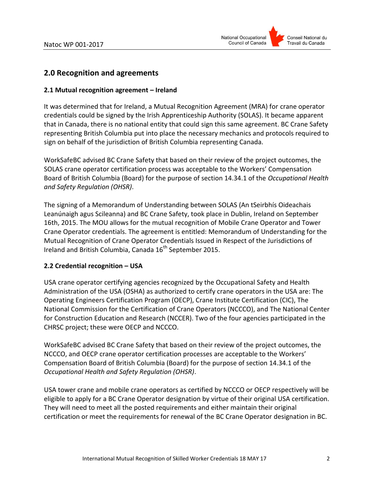

## <span id="page-3-0"></span>**2.0 Recognition and agreements**

#### <span id="page-3-1"></span>**2.1 Mutual recognition agreement – Ireland**

It was determined that for Ireland, a Mutual Recognition Agreement (MRA) for crane operator credentials could be signed by the Irish Apprenticeship Authority (SOLAS). It became apparent that in Canada, there is no national entity that could sign this same agreement. BC Crane Safety representing British Columbia put into place the necessary mechanics and protocols required to sign on behalf of the jurisdiction of British Columbia representing Canada.

WorkSafeBC advised BC Crane Safety that based on their review of the project outcomes, the SOLAS crane operator certification process was acceptable to the Workers' Compensation Board of British Columbia (Board) for the purpose of section 14.34.1 of the *Occupational Health and Safety Regulation (OHSR)*.

The signing of a Memorandum of Understanding between SOLAS (An tSeirbhís Oideachais Leanúnaigh agus Scileanna) and BC Crane Safety, took place in Dublin, Ireland on September 16th, 2015. The MOU allows for the mutual recognition of Mobile Crane Operator and Tower Crane Operator credentials. The agreement is entitled: Memorandum of Understanding for the Mutual Recognition of Crane Operator Credentials Issued in Respect of the Jurisdictions of Ireland and British Columbia, Canada 16<sup>th</sup> September 2015.

#### <span id="page-3-2"></span>**2.2 Credential recognition – USA**

USA crane operator certifying agencies recognized by the Occupational Safety and Health Administration of the USA (OSHA) as authorized to certify crane operators in the USA are: The Operating Engineers Certification Program (OECP), Crane Institute Certification (CIC), The National Commission for the Certification of Crane Operators (NCCCO), and The National Center for Construction Education and Research (NCCER). Two of the four agencies participated in the CHRSC project; these were OECP and NCCCO.

WorkSafeBC advised BC Crane Safety that based on their review of the project outcomes, the NCCCO, and OECP crane operator certification processes are acceptable to the Workers' Compensation Board of British Columbia (Board) for the purpose of section 14.34.1 of the *Occupational Health and Safety Regulation (OHSR)*.

USA tower crane and mobile crane operators as certified by NCCCO or OECP respectively will be eligible to apply for a BC Crane Operator designation by virtue of their original USA certification. They will need to meet all the posted requirements and either maintain their original certification or meet the requirements for renewal of the BC Crane Operator designation in BC.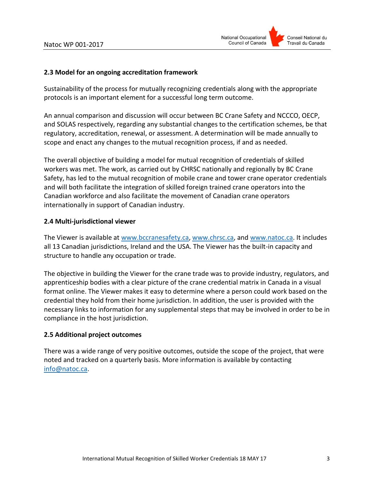

#### <span id="page-4-0"></span>**2.3 Model for an ongoing accreditation framework**

Sustainability of the process for mutually recognizing credentials along with the appropriate protocols is an important element for a successful long term outcome.

An annual comparison and discussion will occur between BC Crane Safety and NCCCO, OECP, and SOLAS respectively, regarding any substantial changes to the certification schemes, be that regulatory, accreditation, renewal, or assessment. A determination will be made annually to scope and enact any changes to the mutual recognition process, if and as needed.

The overall objective of building a model for mutual recognition of credentials of skilled workers was met. The work, as carried out by CHRSC nationally and regionally by BC Crane Safety, has led to the mutual recognition of mobile crane and tower crane operator credentials and will both facilitate the integration of skilled foreign trained crane operators into the Canadian workforce and also facilitate the movement of Canadian crane operators internationally in support of Canadian industry.

#### <span id="page-4-1"></span>**2.4 Multi-jurisdictional viewer**

The Viewer is available at [www.bccranesafety.ca,](http://www.bccranesafety.ca/) [www.chrsc.ca,](http://www.chrsc.ca/) and [www.natoc.ca.](http://www.natoc.ca/) It includes all 13 Canadian jurisdictions, Ireland and the USA. The Viewer has the built-in capacity and structure to handle any occupation or trade.

The objective in building the Viewer for the crane trade was to provide industry, regulators, and apprenticeship bodies with a clear picture of the crane credential matrix in Canada in a visual format online. The Viewer makes it easy to determine where a person could work based on the credential they hold from their home jurisdiction. In addition, the user is provided with the necessary links to information for any supplemental steps that may be involved in order to be in compliance in the host jurisdiction.

#### <span id="page-4-2"></span>**2.5 Additional project outcomes**

There was a wide range of very positive outcomes, outside the scope of the project, that were noted and tracked on a quarterly basis. More information is available by contacting [info@natoc.ca.](mailto:info@natoc.ca)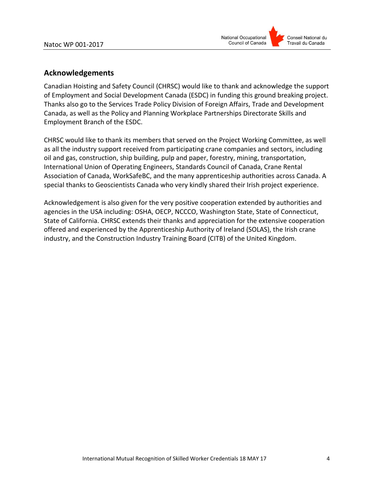

### <span id="page-5-0"></span>**Acknowledgements**

Canadian Hoisting and Safety Council (CHRSC) would like to thank and acknowledge the support of Employment and Social Development Canada (ESDC) in funding this ground breaking project. Thanks also go to the Services Trade Policy Division of Foreign Affairs, Trade and Development Canada, as well as the Policy and Planning Workplace Partnerships Directorate Skills and Employment Branch of the ESDC.

CHRSC would like to thank its members that served on the Project Working Committee, as well as all the industry support received from participating crane companies and sectors, including oil and gas, construction, ship building, pulp and paper, forestry, mining, transportation, International Union of Operating Engineers, Standards Council of Canada, Crane Rental Association of Canada, WorkSafeBC, and the many apprenticeship authorities across Canada. A special thanks to Geoscientists Canada who very kindly shared their Irish project experience.

Acknowledgement is also given for the very positive cooperation extended by authorities and agencies in the USA including: OSHA, OECP, NCCCO, Washington State, State of Connecticut, State of California. CHRSC extends their thanks and appreciation for the extensive cooperation offered and experienced by the Apprenticeship Authority of Ireland (SOLAS), the Irish crane industry, and the Construction Industry Training Board (CITB) of the United Kingdom.